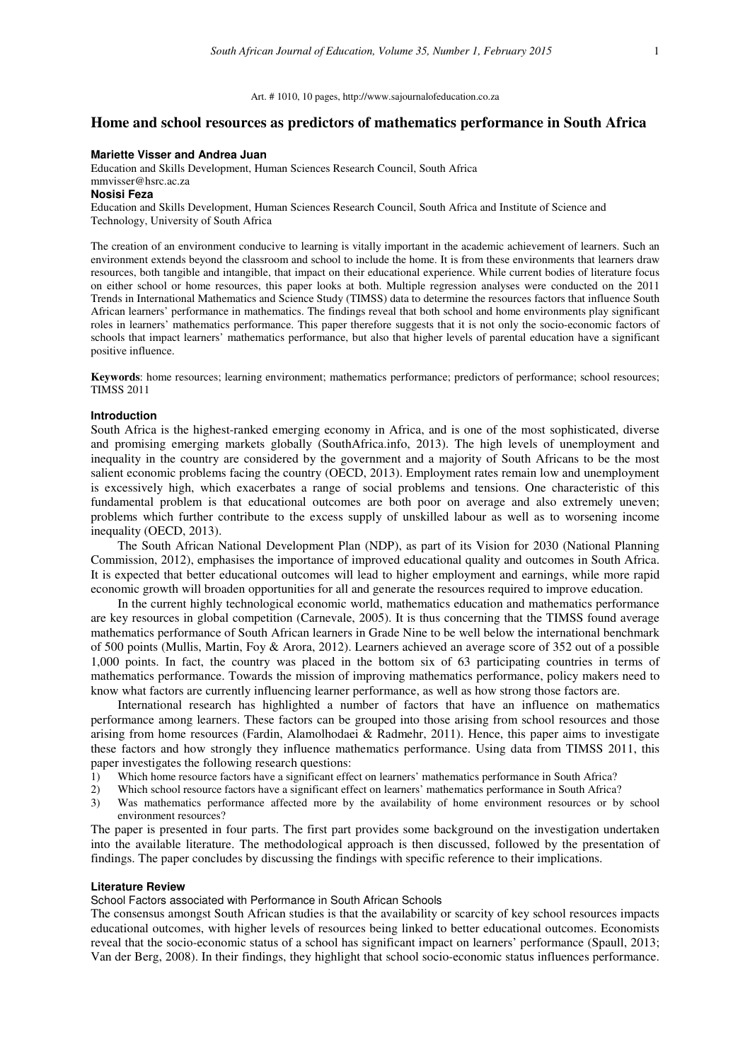## **Home and school resources as predictors of mathematics performance in South Africa**

#### **Mariette Visser and Andrea Juan**

Education and Skills Development, Human Sciences Research Council, South Africa

# mmvisser@hsrc.ac.za

### **Nosisi Feza**

Education and Skills Development, Human Sciences Research Council, South Africa and Institute of Science and Technology, University of South Africa

The creation of an environment conducive to learning is vitally important in the academic achievement of learners. Such an environment extends beyond the classroom and school to include the home. It is from these environments that learners draw resources, both tangible and intangible, that impact on their educational experience. While current bodies of literature focus on either school or home resources, this paper looks at both. Multiple regression analyses were conducted on the 2011 Trends in International Mathematics and Science Study (TIMSS) data to determine the resources factors that influence South African learners' performance in mathematics. The findings reveal that both school and home environments play significant roles in learners' mathematics performance. This paper therefore suggests that it is not only the socio-economic factors of schools that impact learners' mathematics performance, but also that higher levels of parental education have a significant positive influence.

**Keywords**: home resources; learning environment; mathematics performance; predictors of performance; school resources; TIMSS 2011

#### **Introduction**

South Africa is the highest-ranked emerging economy in Africa, and is one of the most sophisticated, diverse and promising emerging markets globally (SouthAfrica.info, 2013). The high levels of unemployment and inequality in the country are considered by the government and a majority of South Africans to be the most salient economic problems facing the country (OECD, 2013). Employment rates remain low and unemployment is excessively high, which exacerbates a range of social problems and tensions. One characteristic of this fundamental problem is that educational outcomes are both poor on average and also extremely uneven; problems which further contribute to the excess supply of unskilled labour as well as to worsening income inequality (OECD, 2013).

The South African National Development Plan (NDP), as part of its Vision for 2030 (National Planning Commission, 2012), emphasises the importance of improved educational quality and outcomes in South Africa. It is expected that better educational outcomes will lead to higher employment and earnings, while more rapid economic growth will broaden opportunities for all and generate the resources required to improve education.

In the current highly technological economic world, mathematics education and mathematics performance are key resources in global competition (Carnevale, 2005). It is thus concerning that the TIMSS found average mathematics performance of South African learners in Grade Nine to be well below the international benchmark of 500 points (Mullis, Martin, Foy & Arora, 2012). Learners achieved an average score of 352 out of a possible 1,000 points. In fact, the country was placed in the bottom six of 63 participating countries in terms of mathematics performance. Towards the mission of improving mathematics performance, policy makers need to know what factors are currently influencing learner performance, as well as how strong those factors are.

International research has highlighted a number of factors that have an influence on mathematics performance among learners. These factors can be grouped into those arising from school resources and those arising from home resources (Fardin, Alamolhodaei & Radmehr, 2011). Hence, this paper aims to investigate these factors and how strongly they influence mathematics performance. Using data from TIMSS 2011, this paper investigates the following research questions:

- 1) Which home resource factors have a significant effect on learners' mathematics performance in South Africa?
- 2) Which school resource factors have a significant effect on learners' mathematics performance in South Africa?
- 3) Was mathematics performance affected more by the availability of home environment resources or by school environment resources?

The paper is presented in four parts. The first part provides some background on the investigation undertaken into the available literature. The methodological approach is then discussed, followed by the presentation of findings. The paper concludes by discussing the findings with specific reference to their implications.

### **Literature Review**

School Factors associated with Performance in South African Schools

The consensus amongst South African studies is that the availability or scarcity of key school resources impacts educational outcomes, with higher levels of resources being linked to better educational outcomes. Economists reveal that the socio-economic status of a school has significant impact on learners' performance (Spaull, 2013; Van der Berg, 2008). In their findings, they highlight that school socio-economic status influences performance.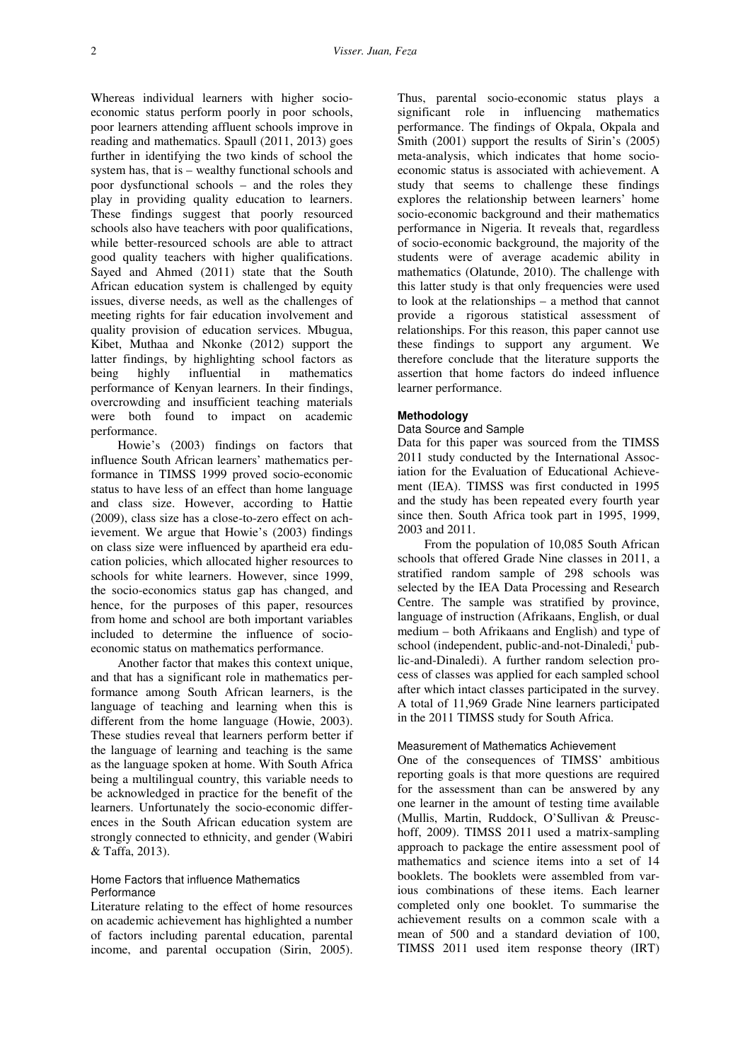Whereas individual learners with higher socioeconomic status perform poorly in poor schools, poor learners attending affluent schools improve in reading and mathematics. Spaull (2011, 2013) goes further in identifying the two kinds of school the system has, that is – wealthy functional schools and poor dysfunctional schools – and the roles they play in providing quality education to learners. These findings suggest that poorly resourced schools also have teachers with poor qualifications, while better-resourced schools are able to attract good quality teachers with higher qualifications. Sayed and Ahmed (2011) state that the South African education system is challenged by equity issues, diverse needs, as well as the challenges of meeting rights for fair education involvement and quality provision of education services. Mbugua, Kibet, Muthaa and Nkonke (2012) support the latter findings, by highlighting school factors as being highly influential in mathematics performance of Kenyan learners. In their findings, overcrowding and insufficient teaching materials were both found to impact on academic performance.

Howie's (2003) findings on factors that influence South African learners' mathematics performance in TIMSS 1999 proved socio-economic status to have less of an effect than home language and class size. However, according to Hattie (2009), class size has a close-to-zero effect on achievement. We argue that Howie's (2003) findings on class size were influenced by apartheid era education policies, which allocated higher resources to schools for white learners. However, since 1999, the socio-economics status gap has changed, and hence, for the purposes of this paper, resources from home and school are both important variables included to determine the influence of socioeconomic status on mathematics performance.

Another factor that makes this context unique, and that has a significant role in mathematics performance among South African learners, is the language of teaching and learning when this is different from the home language (Howie, 2003). These studies reveal that learners perform better if the language of learning and teaching is the same as the language spoken at home. With South Africa being a multilingual country, this variable needs to be acknowledged in practice for the benefit of the learners. Unfortunately the socio-economic differences in the South African education system are strongly connected to ethnicity, and gender (Wabiri & Taffa, 2013).

# Home Factors that influence Mathematics **Performance**

Literature relating to the effect of home resources on academic achievement has highlighted a number of factors including parental education, parental income, and parental occupation (Sirin, 2005).

Thus, parental socio-economic status plays a significant role in influencing mathematics performance. The findings of Okpala, Okpala and Smith (2001) support the results of Sirin's (2005) meta-analysis, which indicates that home socioeconomic status is associated with achievement. A study that seems to challenge these findings explores the relationship between learners' home socio-economic background and their mathematics performance in Nigeria. It reveals that, regardless of socio-economic background, the majority of the students were of average academic ability in mathematics (Olatunde, 2010). The challenge with this latter study is that only frequencies were used to look at the relationships – a method that cannot provide a rigorous statistical assessment of relationships. For this reason, this paper cannot use these findings to support any argument. We therefore conclude that the literature supports the assertion that home factors do indeed influence learner performance.

## **Methodology**

## Data Source and Sample

Data for this paper was sourced from the TIMSS 2011 study conducted by the International Association for the Evaluation of Educational Achievement (IEA). TIMSS was first conducted in 1995 and the study has been repeated every fourth year since then. South Africa took part in 1995, 1999, 2003 and 2011.

From the population of 10,085 South African schools that offered Grade Nine classes in 2011, a stratified random sample of 298 schools was selected by the IEA Data Processing and Research Centre. The sample was stratified by province, language of instruction (Afrikaans, English, or dual medium – both Afrikaans and English) and type of school (independent, public-and-not-Dinaledi, public-and-Dinaledi). A further random selection process of classes was applied for each sampled school after which intact classes participated in the survey. A total of 11,969 Grade Nine learners participated in the 2011 TIMSS study for South Africa.

#### Measurement of Mathematics Achievement

One of the consequences of TIMSS' ambitious reporting goals is that more questions are required for the assessment than can be answered by any one learner in the amount of testing time available (Mullis, Martin, Ruddock, O'Sullivan & Preuschoff, 2009). TIMSS 2011 used a matrix-sampling approach to package the entire assessment pool of mathematics and science items into a set of 14 booklets. The booklets were assembled from various combinations of these items. Each learner completed only one booklet. To summarise the achievement results on a common scale with a mean of 500 and a standard deviation of 100, TIMSS 2011 used item response theory (IRT)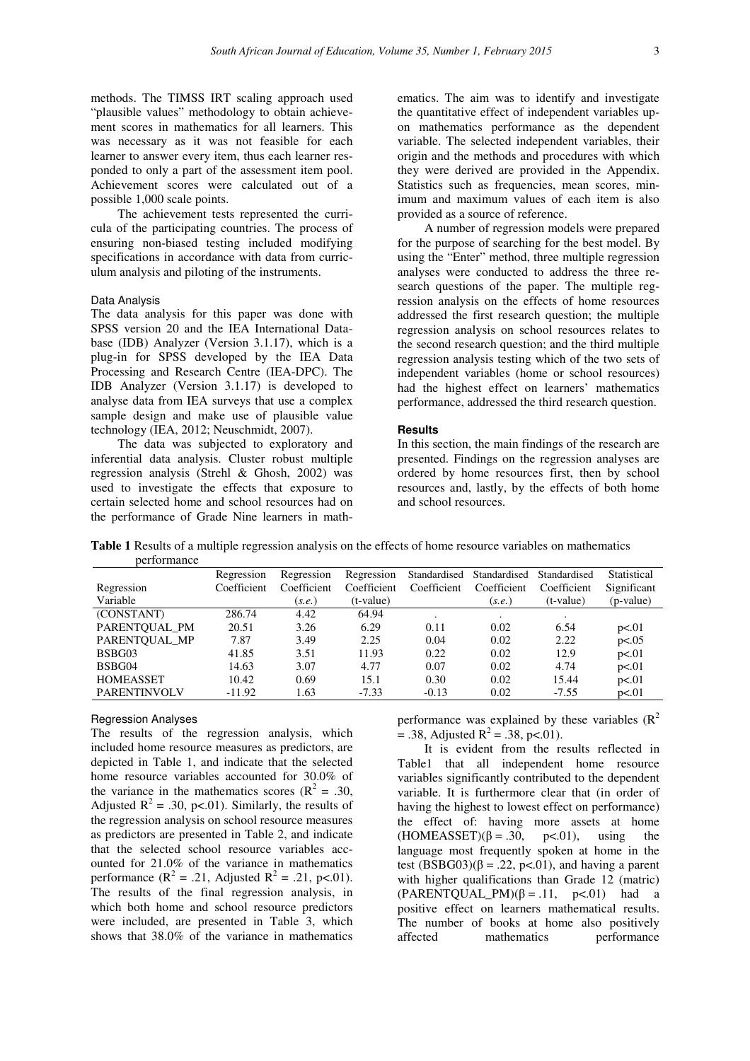methods. The TIMSS IRT scaling approach used "plausible values" methodology to obtain achievement scores in mathematics for all learners. This was necessary as it was not feasible for each learner to answer every item, thus each learner responded to only a part of the assessment item pool. Achievement scores were calculated out of a possible 1,000 scale points.

The achievement tests represented the curricula of the participating countries. The process of ensuring non-biased testing included modifying specifications in accordance with data from curriculum analysis and piloting of the instruments.

### Data Analysis

The data analysis for this paper was done with SPSS version 20 and the IEA International Database (IDB) Analyzer (Version 3.1.17), which is a plug-in for SPSS developed by the IEA Data Processing and Research Centre (IEA-DPC). The IDB Analyzer (Version 3.1.17) is developed to analyse data from IEA surveys that use a complex sample design and make use of plausible value technology (IEA, 2012; Neuschmidt, 2007).

The data was subjected to exploratory and inferential data analysis. Cluster robust multiple regression analysis (Strehl & Ghosh, 2002) was used to investigate the effects that exposure to certain selected home and school resources had on the performance of Grade Nine learners in mathematics. The aim was to identify and investigate the quantitative effect of independent variables upon mathematics performance as the dependent variable. The selected independent variables, their origin and the methods and procedures with which they were derived are provided in the Appendix. Statistics such as frequencies, mean scores, minimum and maximum values of each item is also provided as a source of reference.

A number of regression models were prepared for the purpose of searching for the best model. By using the "Enter" method, three multiple regression analyses were conducted to address the three research questions of the paper. The multiple regression analysis on the effects of home resources addressed the first research question; the multiple regression analysis on school resources relates to the second research question; and the third multiple regression analysis testing which of the two sets of independent variables (home or school resources) had the highest effect on learners' mathematics performance, addressed the third research question.

### **Results**

In this section, the main findings of the research are presented. Findings on the regression analyses are ordered by home resources first, then by school resources and, lastly, by the effects of both home and school resources.

**Table 1** Results of a multiple regression analysis on the effects of home resource variables on mathematics performance

| <u>DVI I VI III.III IV</u> |             |             |             |              |              |              |             |
|----------------------------|-------------|-------------|-------------|--------------|--------------|--------------|-------------|
|                            | Regression  | Regression  | Regression  | Standardised | Standardised | Standardised | Statistical |
| Regression                 | Coefficient | Coefficient | Coefficient | Coefficient  | Coefficient  | Coefficient  | Significant |
| Variable                   |             | (s.e.)      | (t-value)   |              | (s.e.)       | $(t-value)$  | (p-value)   |
| (CONSTANT)                 | 286.74      | 4.42        | 64.94       |              |              |              |             |
| PARENTOUAL PM              | 20.51       | 3.26        | 6.29        | 0.11         | 0.02         | 6.54         | p<.01       |
| PARENTOUAL MP              | 7.87        | 3.49        | 2.25        | 0.04         | 0.02         | 2.22         | p<.05       |
| BSBG03                     | 41.85       | 3.51        | 11.93       | 0.22         | 0.02         | 12.9         | p<.01       |
| BSBG04                     | 14.63       | 3.07        | 4.77        | 0.07         | 0.02         | 4.74         | p<.01       |
| <b>HOMEASSET</b>           | 10.42       | 0.69        | 15.1        | 0.30         | 0.02         | 15.44        | p<.01       |
| <b>PARENTINVOLV</b>        | $-11.92$    | 1.63        | $-7.33$     | $-0.13$      | 0.02         | $-7.55$      | p<.01       |

## Regression Analyses

The results of the regression analysis, which included home resource measures as predictors, are depicted in Table 1, and indicate that the selected home resource variables accounted for 30.0% of the variance in the mathematics scores ( $\mathbb{R}^2 = .30$ , Adjusted  $R^2 = .30$ , p<.01). Similarly, the results of the regression analysis on school resource measures as predictors are presented in Table 2, and indicate that the selected school resource variables accounted for 21.0% of the variance in mathematics performance ( $R^2 = .21$ , Adjusted  $R^2 = .21$ , p<.01). The results of the final regression analysis, in which both home and school resource predictors were included, are presented in Table 3, which shows that 38.0% of the variance in mathematics

performance was explained by these variables  $(R^2)$  $= .38$ , Adjusted R<sup>2</sup> = .38, p<.01).

It is evident from the results reflected in Table1 that all independent home resource variables significantly contributed to the dependent variable. It is furthermore clear that (in order of having the highest to lowest effect on performance) the effect of: having more assets at home<br>(HOMEASSET)( $\beta = .30$ ,  $p < .01$ ), using the  $(HOMEASSET)(\beta = .30, \quad p<.01)$ , using the language most frequently spoken at home in the test  $(BSBG03)(\beta = .22, p<.01)$ , and having a parent with higher qualifications than Grade 12 (matric) (PARENTQUAL PM)( $\beta$  = .11, p<.01) had a positive effect on learners mathematical results. The number of books at home also positively affected mathematics performance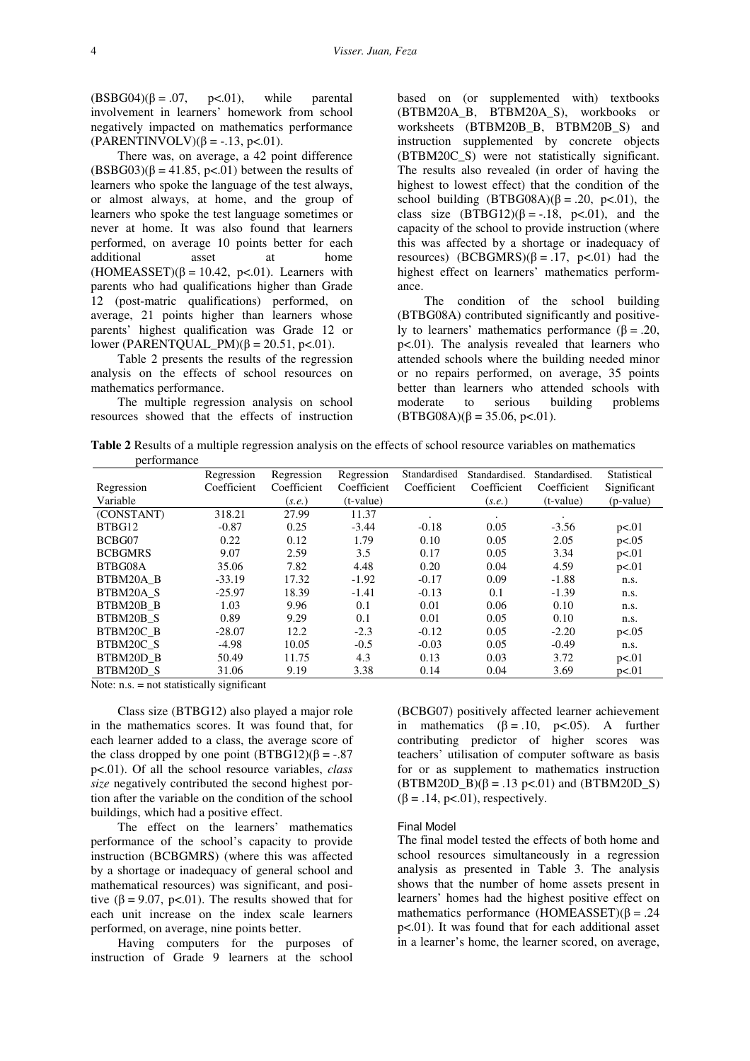$(BSBG04)(\beta = .07, p<.01)$ , while parental involvement in learners' homework from school negatively impacted on mathematics performance  $(PARENTINVOLV)(\beta = -.13, p<.01).$ 

There was, on average, a 42 point difference  $(BSBG03)(\beta = 41.85, p<.01)$  between the results of learners who spoke the language of the test always, or almost always, at home, and the group of learners who spoke the test language sometimes or never at home. It was also found that learners performed, on average 10 points better for each additional asset at home  $(HOMEASSET)(\beta = 10.42, p<.01)$ . Learners with parents who had qualifications higher than Grade 12 (post-matric qualifications) performed, on average, 21 points higher than learners whose parents' highest qualification was Grade 12 or lower (PARENTQUAL PM)(β = 20.51, p<.01).

Table 2 presents the results of the regression analysis on the effects of school resources on mathematics performance.

The multiple regression analysis on school resources showed that the effects of instruction based on (or supplemented with) textbooks (BTBM20A\_B, BTBM20A\_S), workbooks or worksheets (BTBM20B\_B, BTBM20B\_S) and instruction supplemented by concrete objects (BTBM20C\_S) were not statistically significant. The results also revealed (in order of having the highest to lowest effect) that the condition of the school building  $(BTBG08A)(\beta=.20, p<.01)$ , the class size  $(BTBG12)(\beta = -18, p<.01)$ , and the capacity of the school to provide instruction (where this was affected by a shortage or inadequacy of resources)  $(BCBGMRS)(\beta = .17, p<.01)$  had the highest effect on learners' mathematics performance.

The condition of the school building (BTBG08A) contributed significantly and positively to learners' mathematics performance (β = .20, p<.01). The analysis revealed that learners who attended schools where the building needed minor or no repairs performed, on average, 35 points better than learners who attended schools with moderate to serious building problems  $(BTBG08A)(\beta = 35.06, p<.01).$ 

**Table 2** Results of a multiple regression analysis on the effects of school resource variables on mathematics performance

|                | Regression  | Regression  | Regression  | Standardised | Standardised. | Standardised. | Statistical |
|----------------|-------------|-------------|-------------|--------------|---------------|---------------|-------------|
| Regression     | Coefficient | Coefficient | Coefficient | Coefficient  | Coefficient   | Coefficient   | Significant |
| Variable       |             | (s.e.)      | $(t-value)$ |              | (s.e.)        | $(t-value)$   | (p-value)   |
| (CONSTANT)     | 318.21      | 27.99       | 11.37       | $\cdot$      | ٠             | $\bullet$     |             |
| BTBG12         | $-0.87$     | 0.25        | $-3.44$     | $-0.18$      | 0.05          | $-3.56$       | p<.01       |
| BCBG07         | 0.22        | 0.12        | 1.79        | 0.10         | 0.05          | 2.05          | p<.05       |
| <b>BCBGMRS</b> | 9.07        | 2.59        | 3.5         | 0.17         | 0.05          | 3.34          | p<.01       |
| BTBG08A        | 35.06       | 7.82        | 4.48        | 0.20         | 0.04          | 4.59          | p<.01       |
| BTBM20A B      | $-33.19$    | 17.32       | $-1.92$     | $-0.17$      | 0.09          | $-1.88$       | n.s.        |
| BTBM20A S      | $-25.97$    | 18.39       | $-1.41$     | $-0.13$      | 0.1           | $-1.39$       | n.s.        |
| BTBM20B B      | 1.03        | 9.96        | 0.1         | 0.01         | 0.06          | 0.10          | n.s.        |
| BTBM20B S      | 0.89        | 9.29        | 0.1         | 0.01         | 0.05          | 0.10          | n.s.        |
| BTBM20C B      | $-28.07$    | 12.2        | $-2.3$      | $-0.12$      | 0.05          | $-2.20$       | p<.05       |
| BTBM20C S      | $-4.98$     | 10.05       | $-0.5$      | $-0.03$      | 0.05          | $-0.49$       | n.s.        |
| BTBM20D B      | 50.49       | 11.75       | 4.3         | 0.13         | 0.03          | 3.72          | p<.01       |
| BTBM20D S      | 31.06       | 9.19        | 3.38        | 0.14         | 0.04          | 3.69          | p<.01       |

Note: n.s. = not statistically significant

Class size (BTBG12) also played a major role in the mathematics scores. It was found that, for each learner added to a class, the average score of the class dropped by one point  $(BTBG12)(\beta = -.87)$ p<.01). Of all the school resource variables, *class size* negatively contributed the second highest portion after the variable on the condition of the school buildings, which had a positive effect.

The effect on the learners' mathematics performance of the school's capacity to provide instruction (BCBGMRS) (where this was affected by a shortage or inadequacy of general school and mathematical resources) was significant, and positive ( $\beta$  = 9.07, p<.01). The results showed that for each unit increase on the index scale learners performed, on average, nine points better.

Having computers for the purposes of instruction of Grade 9 learners at the school

(BCBG07) positively affected learner achievement in mathematics  $(\beta = .10, p<.05)$ . A further contributing predictor of higher scores was teachers' utilisation of computer software as basis for or as supplement to mathematics instruction  $(BTBM20D_B)(\beta = .13 \text{ p} < .01)$  and  $(BTBM20D_S)$  $(\beta = .14, \text{ p} < .01),$  respectively.

#### Final Model

The final model tested the effects of both home and school resources simultaneously in a regression analysis as presented in Table 3. The analysis shows that the number of home assets present in learners' homes had the highest positive effect on mathematics performance  $(HOMEASSET)(\beta = .24)$ p<.01). It was found that for each additional asset in a learner's home, the learner scored, on average,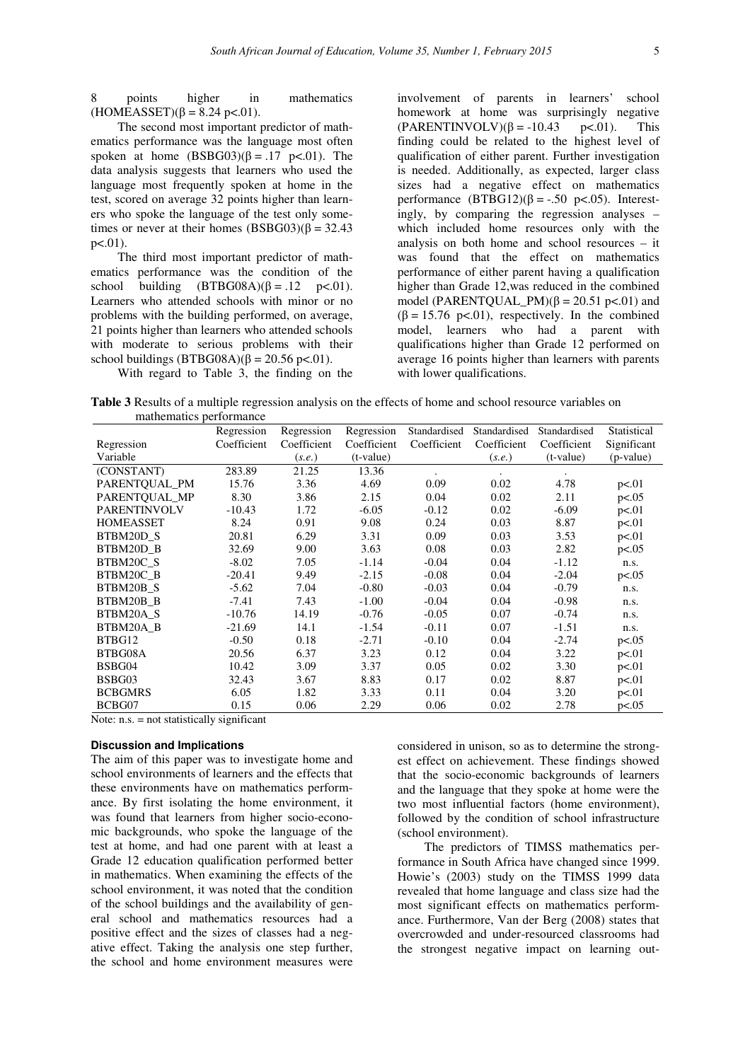8 points higher in mathematics (HOMEASSET)( $\beta = 8.24$  p<.01).

The second most important predictor of mathematics performance was the language most often spoken at home  $(BSBG03)(\beta = .17 \text{ p} < .01)$ . The data analysis suggests that learners who used the language most frequently spoken at home in the test, scored on average 32 points higher than learners who spoke the language of the test only sometimes or never at their homes  $(BSBG03)(\beta = 32.43)$ p<.01).

The third most important predictor of mathematics performance was the condition of the school building  $(BTBG08A)(\beta=.12 \text{ p} < .01)$ . Learners who attended schools with minor or no problems with the building performed, on average, 21 points higher than learners who attended schools with moderate to serious problems with their school buildings (BTBG08A)( $\beta$  = 20.56 p<.01).

With regard to Table 3, the finding on the

involvement of parents in learners' school homework at home was surprisingly negative  $(PARENTINVOLV)(\beta = -10.43 \quad p<.01)$ . This finding could be related to the highest level of qualification of either parent. Further investigation is needed. Additionally, as expected, larger class sizes had a negative effect on mathematics performance  $(BTBG12)(β = -.50 p < .05)$ . Interestingly, by comparing the regression analyses – which included home resources only with the analysis on both home and school resources – it was found that the effect on mathematics performance of either parent having a qualification higher than Grade 12,was reduced in the combined model (PARENTOUAL PM) $(\beta = 20.51 \text{ p} < 0.01)$  and  $(\beta = 15.76 \text{ p} < 0.01)$ , respectively. In the combined model, learners who had a parent with qualifications higher than Grade 12 performed on average 16 points higher than learners with parents with lower qualifications.

**Table 3** Results of a multiple regression analysis on the effects of home and school resource variables on mathematics performance

|                     | Regression             | Regression  | Regression  | Standardised | Standardised | Standardised | Statistical |
|---------------------|------------------------|-------------|-------------|--------------|--------------|--------------|-------------|
| Regression          | Coefficient            | Coefficient | Coefficient | Coefficient  | Coefficient  | Coefficient  | Significant |
| Variable            |                        | (s.e.)      | $(t-value)$ |              | (s.e.)       | $(t-value)$  | (p-value)   |
| (CONSTANT)          | 283.89                 | 21.25       | 13.36       |              |              |              |             |
| PARENTQUAL_PM       | 15.76                  | 3.36        | 4.69        | 0.09         | 0.02         | 4.78         | p<.01       |
| PARENTOUAL MP       | 8.30                   | 3.86        | 2.15        | 0.04         | 0.02         | 2.11         | p<.05       |
| <b>PARENTINVOLV</b> | $-10.43$               | 1.72        | $-6.05$     | $-0.12$      | 0.02         | $-6.09$      | p<.01       |
| <b>HOMEASSET</b>    | 8.24                   | 0.91        | 9.08        | 0.24         | 0.03         | 8.87         | p<.01       |
| BTBM20D S           | 20.81                  | 6.29        | 3.31        | 0.09         | 0.03         | 3.53         | p<.01       |
| BTBM20D B           | 32.69                  | 9.00        | 3.63        | 0.08         | 0.03         | 2.82         | p<.05       |
| BTBM20C S           | $-8.02$                | 7.05        | $-1.14$     | $-0.04$      | 0.04         | $-1.12$      | n.s.        |
| BTBM20C B           | $-20.41$               | 9.49        | $-2.15$     | $-0.08$      | 0.04         | $-2.04$      | p<.05       |
| BTBM20B S           | $-5.62$                | 7.04        | $-0.80$     | $-0.03$      | 0.04         | $-0.79$      | n.s.        |
| BTBM20B B           | $-7.41$                | 7.43        | $-1.00$     | $-0.04$      | 0.04         | $-0.98$      | n.s.        |
| BTBM20A S           | $-10.76$               | 14.19       | $-0.76$     | $-0.05$      | 0.07         | $-0.74$      | n.s.        |
| BTBM20A_B           | $-21.69$               | 14.1        | -1.54       | $-0.11$      | 0.07         | $-1.51$      | n.s.        |
| BTBG12              | $-0.50$                | 0.18        | $-2.71$     | $-0.10$      | 0.04         | $-2.74$      | p<.05       |
| BTBG08A             | 20.56                  | 6.37        | 3.23        | 0.12         | 0.04         | 3.22         | p<.01       |
| BSBG04              | 10.42                  | 3.09        | 3.37        | 0.05         | 0.02         | 3.30         | p<.01       |
| BSBG03              | 32.43                  | 3.67        | 8.83        | 0.17         | 0.02         | 8.87         | p<.01       |
| <b>BCBGMRS</b>      | 6.05                   | 1.82        | 3.33        | 0.11         | 0.04         | 3.20         | p<.01       |
| BCBG07              | 0.15<br>$\cdot$ $\sim$ | 0.06        | 2.29        | 0.06         | 0.02         | 2.78         | p<.05       |

Note: n.s. = not statistically significant

### **Discussion and Implications**

The aim of this paper was to investigate home and school environments of learners and the effects that these environments have on mathematics performance. By first isolating the home environment, it was found that learners from higher socio-economic backgrounds, who spoke the language of the test at home, and had one parent with at least a Grade 12 education qualification performed better in mathematics. When examining the effects of the school environment, it was noted that the condition of the school buildings and the availability of general school and mathematics resources had a positive effect and the sizes of classes had a negative effect. Taking the analysis one step further, the school and home environment measures were

considered in unison, so as to determine the strongest effect on achievement. These findings showed that the socio-economic backgrounds of learners and the language that they spoke at home were the two most influential factors (home environment), followed by the condition of school infrastructure (school environment).

The predictors of TIMSS mathematics performance in South Africa have changed since 1999. Howie's (2003) study on the TIMSS 1999 data revealed that home language and class size had the most significant effects on mathematics performance. Furthermore, Van der Berg (2008) states that overcrowded and under-resourced classrooms had the strongest negative impact on learning out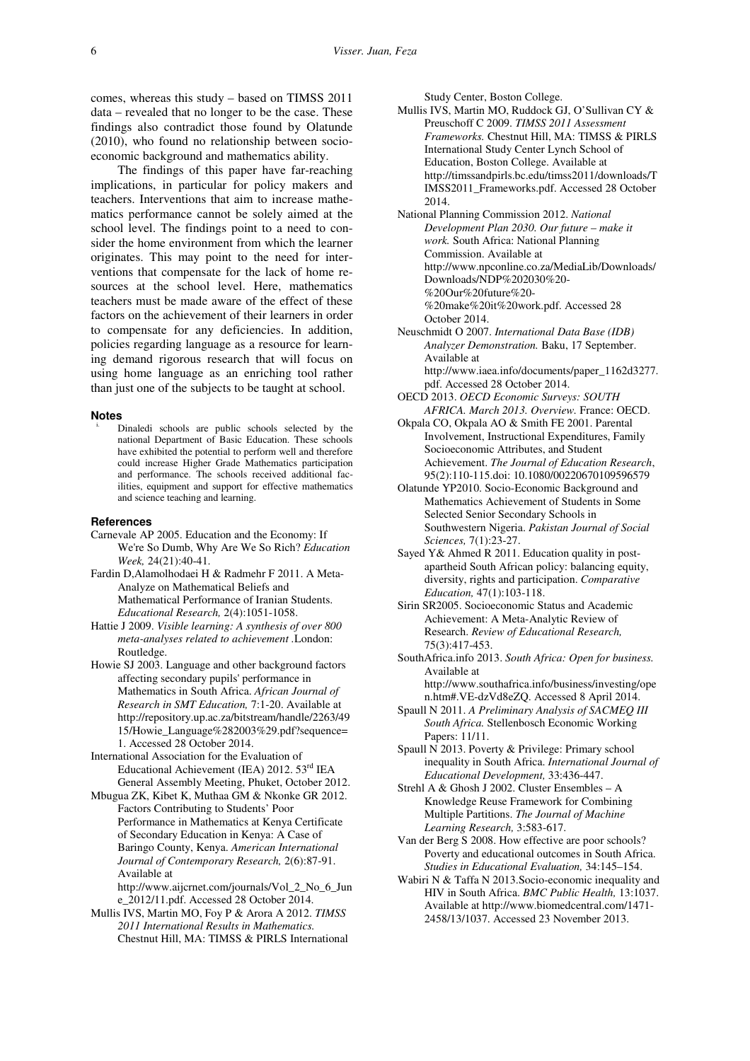comes, whereas this study – based on TIMSS 2011 data – revealed that no longer to be the case. These findings also contradict those found by Olatunde (2010), who found no relationship between socioeconomic background and mathematics ability.

The findings of this paper have far-reaching implications, in particular for policy makers and teachers. Interventions that aim to increase mathematics performance cannot be solely aimed at the school level. The findings point to a need to consider the home environment from which the learner originates. This may point to the need for interventions that compensate for the lack of home resources at the school level. Here, mathematics teachers must be made aware of the effect of these factors on the achievement of their learners in order to compensate for any deficiencies. In addition, policies regarding language as a resource for learning demand rigorous research that will focus on using home language as an enriching tool rather than just one of the subjects to be taught at school.

#### **Notes**

Dinaledi schools are public schools selected by the national Department of Basic Education. These schools have exhibited the potential to perform well and therefore could increase Higher Grade Mathematics participation and performance. The schools received additional facilities, equipment and support for effective mathematics and science teaching and learning.

#### **References**

- Carnevale AP 2005. Education and the Economy: If We're So Dumb, Why Are We So Rich? *Education Week,* 24(21):40-41.
- Fardin D,Alamolhodaei H & Radmehr F 2011. A Meta-Analyze on Mathematical Beliefs and Mathematical Performance of Iranian Students. *Educational Research,* 2(4):1051-1058.
- Hattie J 2009. *Visible learning: A synthesis of over 800 meta-analyses related to achievement .*London: Routledge.
- Howie SJ 2003. Language and other background factors affecting secondary pupils' performance in Mathematics in South Africa. *African Journal of Research in SMT Education,* 7:1-20. Available at http://repository.up.ac.za/bitstream/handle/2263/49 15/Howie\_Language%282003%29.pdf?sequence= 1. Accessed 28 October 2014.
- International Association for the Evaluation of Educational Achievement (IEA) 2012. 53rd IEA General Assembly Meeting, Phuket, October 2012.
- Mbugua ZK, Kibet K, Muthaa GM & Nkonke GR 2012. Factors Contributing to Students' Poor Performance in Mathematics at Kenya Certificate of Secondary Education in Kenya: A Case of Baringo County, Kenya. *American International Journal of Contemporary Research,* 2(6):87-91. Available at

http://www.aijcrnet.com/journals/Vol\_2\_No\_6\_Jun e\_2012/11.pdf. Accessed 28 October 2014.

Mullis IVS, Martin MO, Foy P & Arora A 2012. *TIMSS 2011 International Results in Mathematics.*  Chestnut Hill, MA: TIMSS & PIRLS International Study Center, Boston College.

Mullis IVS, Martin MO, Ruddock GJ, O'Sullivan CY & Preuschoff C 2009. *TIMSS 2011 Assessment Frameworks.* Chestnut Hill, MA: TIMSS & PIRLS International Study Center Lynch School of Education, Boston College. Available at http://timssandpirls.bc.edu/timss2011/downloads/T IMSS2011\_Frameworks.pdf. Accessed 28 October 2014.

National Planning Commission 2012. *National Development Plan 2030. Our future – make it work.* South Africa: National Planning Commission. Available at http://www.npconline.co.za/MediaLib/Downloads/ Downloads/NDP%202030%20- %20Our%20future%20- %20make%20it%20work.pdf. Accessed 28 October 2014.

- Neuschmidt O 2007. *International Data Base (IDB) Analyzer Demonstration.* Baku, 17 September. Available at http://www.iaea.info/documents/paper\_1162d3277. pdf. Accessed 28 October 2014.
- OECD 2013. *OECD Economic Surveys: SOUTH AFRICA. March 2013. Overview.* France: OECD.
- Okpala CO, Okpala AO & Smith FE 2001. Parental Involvement, Instructional Expenditures, Family Socioeconomic Attributes, and Student Achievement. *The Journal of Education Research*, 95(2):110-115.doi: 10.1080/00220670109596579
- Olatunde YP2010. Socio-Economic Background and Mathematics Achievement of Students in Some Selected Senior Secondary Schools in Southwestern Nigeria. *Pakistan Journal of Social Sciences,* 7(1):23-27.
- Sayed Y& Ahmed R 2011. Education quality in postapartheid South African policy: balancing equity, diversity, rights and participation. *Comparative Education,* 47(1):103-118.
- Sirin SR2005. Socioeconomic Status and Academic Achievement: A Meta-Analytic Review of Research. *Review of Educational Research,*  75(3):417-453.
- SouthAfrica.info 2013. *South Africa: Open for business.*  Available at http://www.southafrica.info/business/investing/ope
- n.htm#.VE-dzVd8eZQ. Accessed 8 April 2014. Spaull N 2011. *A Preliminary Analysis of SACMEQ III*
- *South Africa.* Stellenbosch Economic Working Papers: 11/11.
- Spaull N 2013. Poverty & Privilege: Primary school inequality in South Africa. *International Journal of Educational Development,* 33:436-447.
- Strehl A & Ghosh J 2002. Cluster Ensembles A Knowledge Reuse Framework for Combining Multiple Partitions. *The Journal of Machine Learning Research,* 3:583-617.
- Van der Berg S 2008. How effective are poor schools? Poverty and educational outcomes in South Africa. *Studies in Educational Evaluation,* 34:145–154.
- Wabiri N & Taffa N 2013.Socio-economic inequality and HIV in South Africa. *BMC Public Health,* 13:1037. Available at http://www.biomedcentral.com/1471- 2458/13/1037. Accessed 23 November 2013.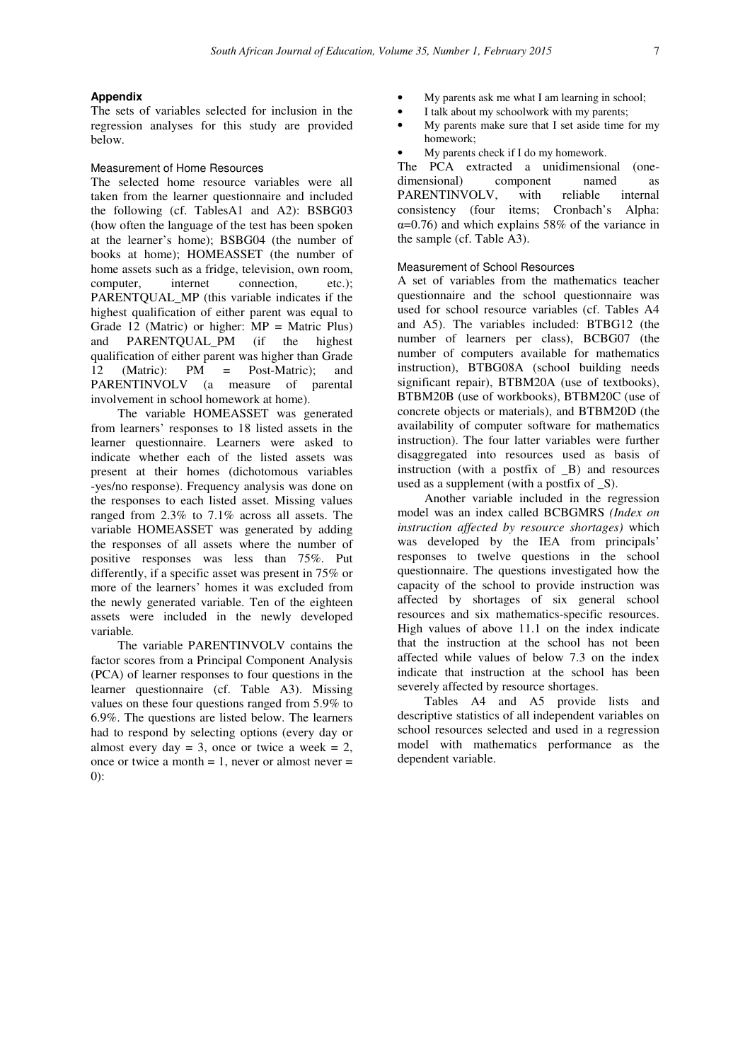### **Appendix**

The sets of variables selected for inclusion in the regression analyses for this study are provided below.

### Measurement of Home Resources

The selected home resource variables were all taken from the learner questionnaire and included the following (cf. TablesA1 and A2): BSBG03 (how often the language of the test has been spoken at the learner's home); BSBG04 (the number of books at home); HOMEASSET (the number of home assets such as a fridge, television, own room,<br>computer. internet connection. etc.): computer, internet connection, etc.); PARENTOUAL MP (this variable indicates if the highest qualification of either parent was equal to Grade 12 (Matric) or higher:  $MP =$  Matric Plus) and PARENTQUAL\_PM (if the highest qualification of either parent was higher than Grade 12 (Matric): PM = Post-Matric); and PARENTINVOLV (a measure of parental involvement in school homework at home).

The variable HOMEASSET was generated from learners' responses to 18 listed assets in the learner questionnaire. Learners were asked to indicate whether each of the listed assets was present at their homes (dichotomous variables -yes/no response). Frequency analysis was done on the responses to each listed asset. Missing values ranged from 2.3% to 7.1% across all assets. The variable HOMEASSET was generated by adding the responses of all assets where the number of positive responses was less than 75%. Put differently, if a specific asset was present in 75% or more of the learners' homes it was excluded from the newly generated variable. Ten of the eighteen assets were included in the newly developed variable*.*

The variable PARENTINVOLV contains the factor scores from a Principal Component Analysis (PCA) of learner responses to four questions in the learner questionnaire (cf. Table A3). Missing values on these four questions ranged from 5.9% to 6.9%. The questions are listed below. The learners had to respond by selecting options (every day or almost every day  $= 3$ , once or twice a week  $= 2$ , once or twice a month  $= 1$ , never or almost never  $=$  $(0)$ 

- My parents ask me what I am learning in school;
- I talk about my schoolwork with my parents;
- My parents make sure that I set aside time for my homework;
- My parents check if I do my homework.

The PCA extracted a unidimensional (onedimensional) component named as PARENTINVOLV, with reliable internal consistency (four items; Cronbach's Alpha:  $\alpha$ =0.76) and which explains 58% of the variance in the sample (cf. Table A3).

#### Measurement of School Resources

A set of variables from the mathematics teacher questionnaire and the school questionnaire was used for school resource variables (cf. Tables A4 and A5). The variables included: BTBG12 (the number of learners per class), BCBG07 (the number of computers available for mathematics instruction), BTBG08A (school building needs significant repair), BTBM20A (use of textbooks), BTBM20B (use of workbooks), BTBM20C (use of concrete objects or materials), and BTBM20D (the availability of computer software for mathematics instruction). The four latter variables were further disaggregated into resources used as basis of instruction (with a postfix of \_B) and resources used as a supplement (with a postfix of  $\_\mathbf{S}$ ).

Another variable included in the regression model was an index called BCBGMRS *(Index on instruction affected by resource shortages)* which was developed by the IEA from principals' responses to twelve questions in the school questionnaire. The questions investigated how the capacity of the school to provide instruction was affected by shortages of six general school resources and six mathematics-specific resources. High values of above 11.1 on the index indicate that the instruction at the school has not been affected while values of below 7.3 on the index indicate that instruction at the school has been severely affected by resource shortages.

Tables A4 and A5 provide lists and descriptive statistics of all independent variables on school resources selected and used in a regression model with mathematics performance as the dependent variable.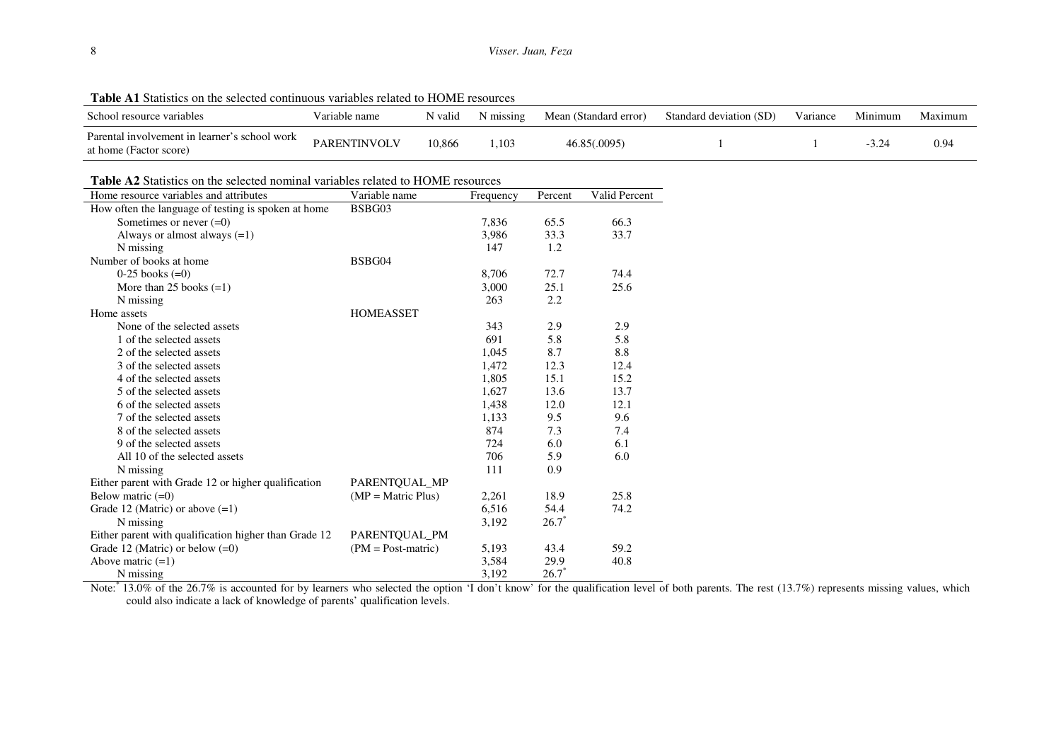| <b>Table AT</b> Statistics on the selected continuous variables related to HOME resources |                     |         |           |                       |                         |          |         |         |
|-------------------------------------------------------------------------------------------|---------------------|---------|-----------|-----------------------|-------------------------|----------|---------|---------|
| School resource variables                                                                 | Variable name       | N valid | N missing | Mean (Standard error) | Standard deviation (SD) | Variance | Minimum | Maximum |
| Parental involvement in learner's school work<br>at home (Factor score)                   | <b>PARENTINVOLV</b> | 10,866  | ,103      | 46.85(.0095)          |                         |          |         | 0.94    |

**Table A1** Statistics on the selected continuous variables related to HOME resources

**Table A2** Statistics on the selected nominal variables related to HOME resources

| Home resource variables and attributes                | Variable name               | Frequency | Percent | Valid Percent |
|-------------------------------------------------------|-----------------------------|-----------|---------|---------------|
| How often the language of testing is spoken at home   | BSBG03                      |           |         |               |
| Sometimes or never $(=0)$                             |                             | 7,836     | 65.5    | 66.3          |
| Always or almost always $(=1)$                        |                             | 3,986     | 33.3    | 33.7          |
| N missing                                             |                             | 147       | 1.2     |               |
| Number of books at home                               | BSBG04                      |           |         |               |
| $0-25$ books $(=0)$                                   |                             | 8,706     | 72.7    | 74.4          |
| More than $25$ books $(=1)$                           |                             | 3,000     | 25.1    | 25.6          |
| N missing                                             |                             | 263       | 2.2     |               |
| Home assets                                           | <b>HOMEASSET</b>            |           |         |               |
| None of the selected assets                           |                             | 343       | 2.9     | 2.9           |
| 1 of the selected assets                              |                             | 691       | 5.8     | 5.8           |
| 2 of the selected assets                              |                             | 1,045     | 8.7     | 8.8           |
| 3 of the selected assets                              |                             | 1,472     | 12.3    | 12.4          |
| 4 of the selected assets                              |                             | 1,805     | 15.1    | 15.2          |
| 5 of the selected assets                              |                             | 1,627     | 13.6    | 13.7          |
| 6 of the selected assets                              |                             | 1,438     | 12.0    | 12.1          |
| 7 of the selected assets                              |                             | 1,133     | 9.5     | 9.6           |
| 8 of the selected assets                              |                             | 874       | 7.3     | 7.4           |
| 9 of the selected assets                              |                             | 724       | 6.0     | 6.1           |
| All 10 of the selected assets                         |                             | 706       | 5.9     | 6.0           |
| N missing                                             |                             | 111       | 0.9     |               |
| Either parent with Grade 12 or higher qualification   | PARENTQUAL_MP               |           |         |               |
| Below matric $(=0)$                                   | $(MP = \text{Matrix Plus})$ | 2,261     | 18.9    | 25.8          |
| Grade 12 (Matric) or above $(=1)$                     |                             | 6,516     | 54.4    | 74.2          |
| N missing                                             |                             | 3,192     | $26.7*$ |               |
| Either parent with qualification higher than Grade 12 | PARENTQUAL_PM               |           |         |               |
| Grade 12 (Matric) or below $(=0)$                     | $(PM = Post-matrix)$        | 5,193     | 43.4    | 59.2          |
| Above matric $(=1)$                                   |                             | 3,584     | 29.9    | 40.8          |
| N missing                                             |                             | 3.192     | $26.7*$ |               |

Note: 13.0% of the 26.7% is accounted for by learners who selected the option 'I don't know' for the qualification level of both parents. The rest (13.7%) represents missing values, which could also indicate a lack of knowledge of parents' qualification levels.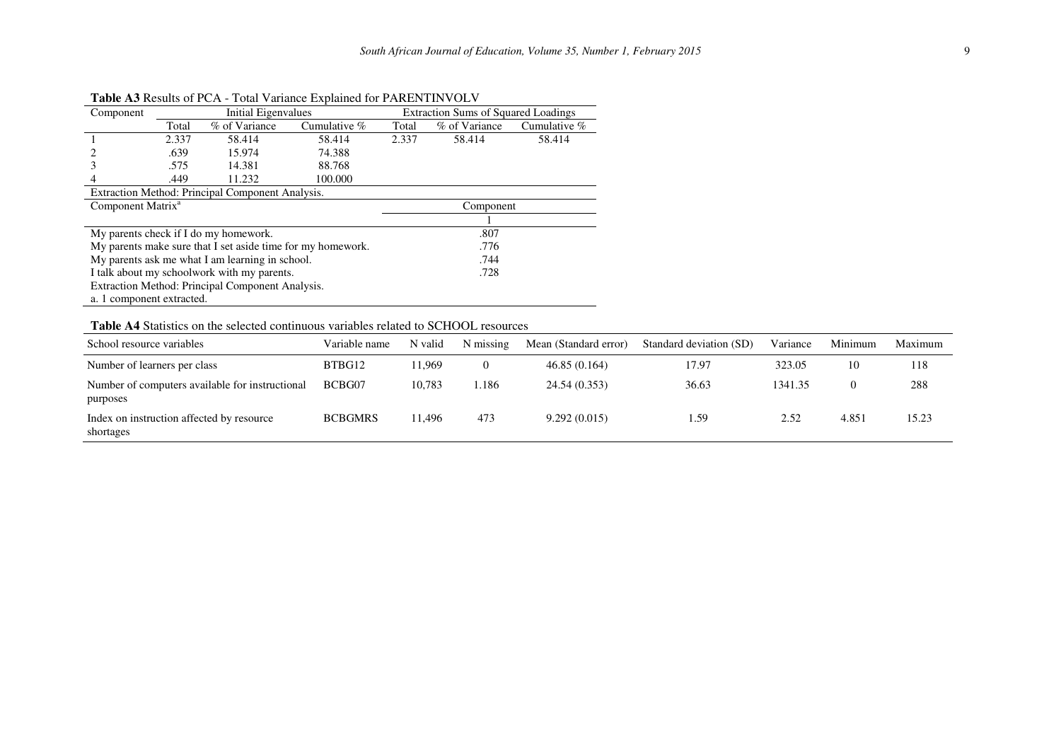| Component                                       |       | Initial Eigenvalues                                         |                | <b>Extraction Sums of Squared Loadings</b> |               |                |  |  |
|-------------------------------------------------|-------|-------------------------------------------------------------|----------------|--------------------------------------------|---------------|----------------|--|--|
|                                                 | Total | % of Variance                                               | Cumulative $%$ | Total                                      | % of Variance | Cumulative $%$ |  |  |
|                                                 | 2.337 | 58.414                                                      | 58.414         | 2.337                                      | 58.414        | 58.414         |  |  |
|                                                 | .639  | 15.974                                                      | 74.388         |                                            |               |                |  |  |
|                                                 | .575  | 14.381                                                      | 88.768         |                                            |               |                |  |  |
|                                                 | .449  | 11.232                                                      | 100.000        |                                            |               |                |  |  |
|                                                 |       | Extraction Method: Principal Component Analysis.            |                |                                            |               |                |  |  |
| Component Matrix <sup>a</sup>                   |       |                                                             |                |                                            | Component     |                |  |  |
|                                                 |       |                                                             |                |                                            |               |                |  |  |
|                                                 |       | My parents check if I do my homework.                       |                | .807                                       |               |                |  |  |
|                                                 |       | My parents make sure that I set aside time for my homework. |                | .776                                       |               |                |  |  |
| My parents ask me what I am learning in school. |       |                                                             |                |                                            | .744          |                |  |  |
| I talk about my schoolwork with my parents.     |       |                                                             |                |                                            | .728          |                |  |  |
|                                                 |       | Extraction Method: Principal Component Analysis.            |                |                                            |               |                |  |  |
| a. 1 component extracted.                       |       |                                                             |                |                                            |               |                |  |  |

**Table A3** Results of PCA - Total Variance Explained for PARENTINVOLV

# **Table A4** Statistics on the selected continuous variables related to SCHOOL resources

| School resource variables                                   | Variable name  | N valid | N missing | Mean (Standard error) | Standard deviation (SD) | Variance | Minimum | Maximum |
|-------------------------------------------------------------|----------------|---------|-----------|-----------------------|-------------------------|----------|---------|---------|
| Number of learners per class                                | BTBG12         | 11.969  |           | 46.85(0.164)          | 17.97                   | 323.05   | 10      | 118     |
| Number of computers available for instructional<br>purposes | BCBG07         | 10.783  | .186      | 24.54 (0.353)         | 36.63                   | 1341.35  | 0       | 288     |
| Index on instruction affected by resource<br>shortages      | <b>BCBGMRS</b> | 11.496  | 473       | 9.292(0.015)          | . 59                    | 2.52     | 4.851   | 15.23   |